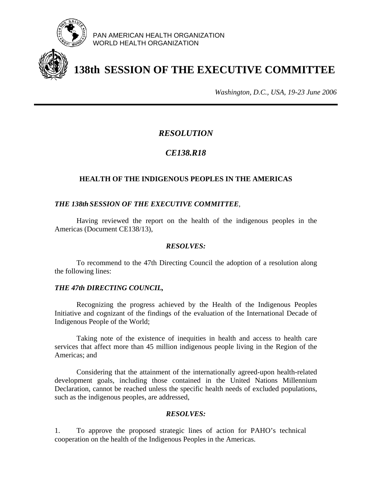

PAN AMERICAN HEALTH ORGANIZATION WORLD HEALTH ORGANIZATION

# **138th SESSION OF THE EXECUTIVE COMMITTEE**

*Washington, D.C., USA, 19-23 June 2006*

# *RESOLUTION*

# *CE138.R18*

### **HEALTH OF THE INDIGENOUS PEOPLES IN THE AMERICAS**

#### *THE 138th SESSION OF THE EXECUTIVE COMMITTEE,*

 Having reviewed the report on the health of the indigenous peoples in the Americas (Document CE138/13),

#### *RESOLVES:*

 To recommend to the 47th Directing Council the adoption of a resolution along the following lines:

#### *THE 47th DIRECTING COUNCIL,*

 Recognizing the progress achieved by the Health of the Indigenous Peoples Initiative and cognizant of the findings of the evaluation of the International Decade of Indigenous People of the World;

 Taking note of the existence of inequities in health and access to health care services that affect more than 45 million indigenous people living in the Region of the Americas; and

 Considering that the attainment of the internationally agreed-upon health-related development goals, including those contained in the United Nations Millennium Declaration, cannot be reached unless the specific health needs of excluded populations, such as the indigenous peoples, are addressed,

#### *RESOLVES:*

1. To approve the proposed strategic lines of action for PAHO's technical cooperation on the health of the Indigenous Peoples in the Americas.